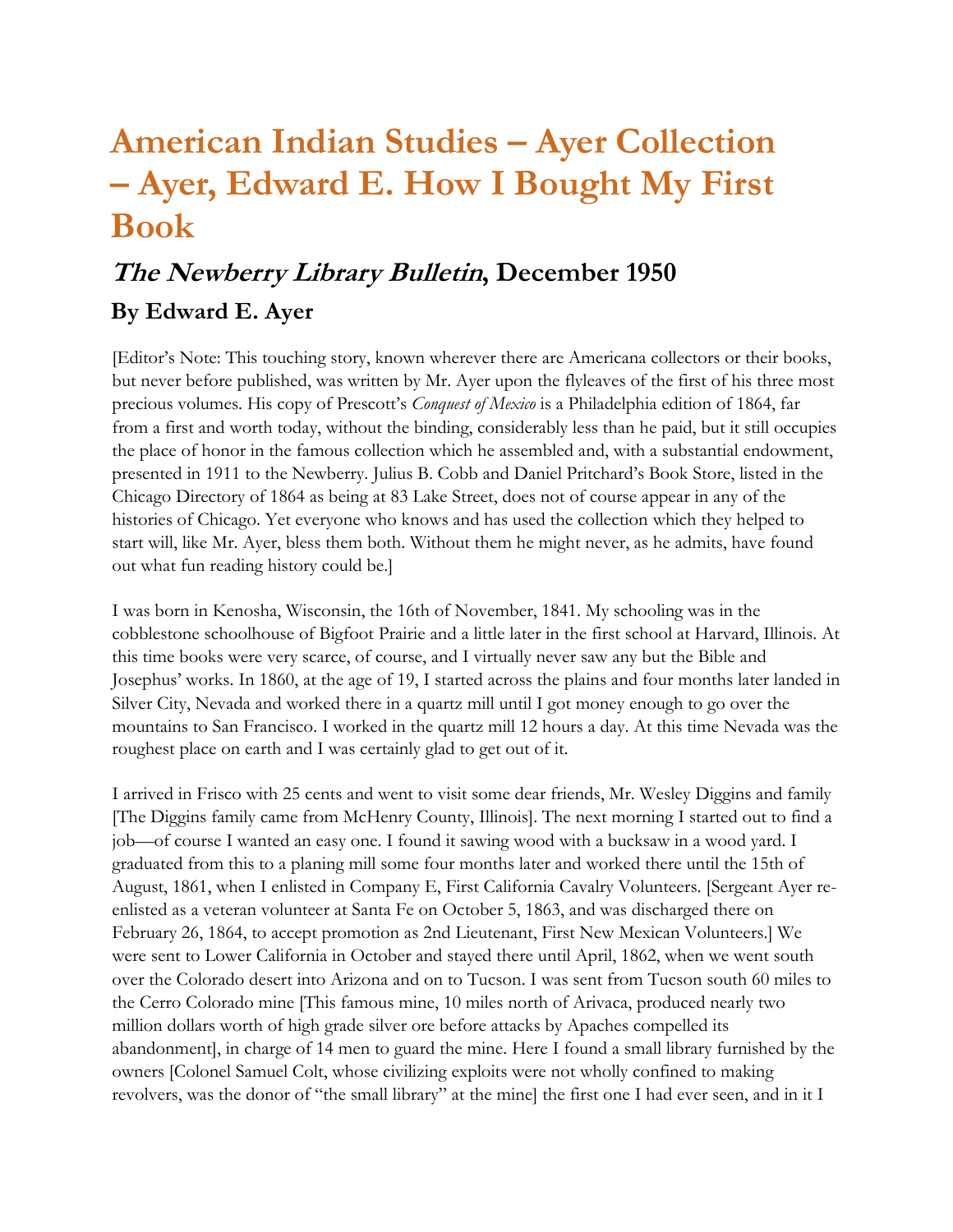## **American Indian Studies – Ayer Collection – Ayer, Edward E. How I Bought My First Book**

## **The Newberry Library Bulletin, December 1950 By Edward E. Ayer**

[Editor's Note: This touching story, known wherever there are Americana collectors or their books, but never before published, was written by Mr. Ayer upon the flyleaves of the first of his three most precious volumes. His copy of Prescott's *Conquest of Mexico* is a Philadelphia edition of 1864, far from a first and worth today, without the binding, considerably less than he paid, but it still occupies the place of honor in the famous collection which he assembled and, with a substantial endowment, presented in 1911 to the Newberry. Julius B. Cobb and Daniel Pritchard's Book Store, listed in the Chicago Directory of 1864 as being at 83 Lake Street, does not of course appear in any of the histories of Chicago. Yet everyone who knows and has used the collection which they helped to start will, like Mr. Ayer, bless them both. Without them he might never, as he admits, have found out what fun reading history could be.]

I was born in Kenosha, Wisconsin, the 16th of November, 1841. My schooling was in the cobblestone schoolhouse of Bigfoot Prairie and a little later in the first school at Harvard, Illinois. At this time books were very scarce, of course, and I virtually never saw any but the Bible and Josephus' works. In 1860, at the age of 19, I started across the plains and four months later landed in Silver City, Nevada and worked there in a quartz mill until I got money enough to go over the mountains to San Francisco. I worked in the quartz mill 12 hours a day. At this time Nevada was the roughest place on earth and I was certainly glad to get out of it.

I arrived in Frisco with 25 cents and went to visit some dear friends, Mr. Wesley Diggins and family [The Diggins family came from McHenry County, Illinois]. The next morning I started out to find a job—of course I wanted an easy one. I found it sawing wood with a bucksaw in a wood yard. I graduated from this to a planing mill some four months later and worked there until the 15th of August, 1861, when I enlisted in Company E, First California Cavalry Volunteers. [Sergeant Ayer reenlisted as a veteran volunteer at Santa Fe on October 5, 1863, and was discharged there on February 26, 1864, to accept promotion as 2nd Lieutenant, First New Mexican Volunteers.] We were sent to Lower California in October and stayed there until April, 1862, when we went south over the Colorado desert into Arizona and on to Tucson. I was sent from Tucson south 60 miles to the Cerro Colorado mine [This famous mine, 10 miles north of Arivaca, produced nearly two million dollars worth of high grade silver ore before attacks by Apaches compelled its abandonment], in charge of 14 men to guard the mine. Here I found a small library furnished by the owners [Colonel Samuel Colt, whose civilizing exploits were not wholly confined to making revolvers, was the donor of "the small library" at the mine] the first one I had ever seen, and in it I